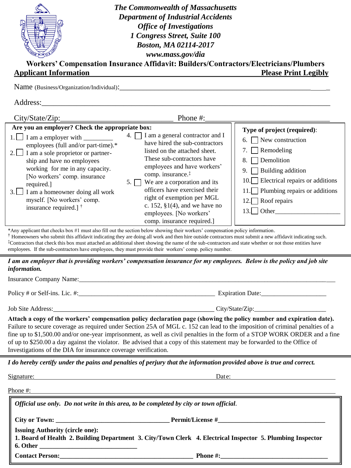

*The Commonwealth of Massachusetts Department of Industrial Accidents Office of Investigations 1 Congress Street, Suite 100 Boston, MA 02114-2017 www.mass.gov/dia* 

## **Workers' Compensation Insurance Affidavit: Builders/Contractors/Electricians/Plumbers Applicant Information Please Print Legibly**

Name (Business/Organization/Individual):

Address:

| City/State/Zip:                                                                                                                                                                                                                                                                                                                                                                                                                                                                                                                                           | Phone #:                                                                                                                                                                                                                                                                                                                                                                                                  |                                                                                                                                                                                                                                             |
|-----------------------------------------------------------------------------------------------------------------------------------------------------------------------------------------------------------------------------------------------------------------------------------------------------------------------------------------------------------------------------------------------------------------------------------------------------------------------------------------------------------------------------------------------------------|-----------------------------------------------------------------------------------------------------------------------------------------------------------------------------------------------------------------------------------------------------------------------------------------------------------------------------------------------------------------------------------------------------------|---------------------------------------------------------------------------------------------------------------------------------------------------------------------------------------------------------------------------------------------|
| Are you an employer? Check the appropriate box:<br>$1.$ I am a employer with $\frac{1}{\sqrt{2}}$<br>employees (full and/or part-time).*<br>2. $\Box$ I am a sole proprietor or partner-<br>ship and have no employees<br>working for me in any capacity.<br>[No workers' comp. insurance<br>required.]<br>$3.$ I am a homeowner doing all work<br>myself. [No workers' comp.<br>insurance required.] <sup>†</sup><br>$*$ Apy applicant that checks hov $\#1$ must also fill out the section below showing their workers' compensation policy information | I am a general contractor and I<br>4.<br>have hired the sub-contractors<br>listed on the attached sheet.<br>These sub-contractors have<br>employees and have workers'<br>comp. insurance. <sup>‡</sup><br>We are a corporation and its<br>5.<br>officers have exercised their<br>right of exemption per MGL<br>c. 152, $\S1(4)$ , and we have no<br>employees. [No workers'<br>comp. insurance required.] | Type of project (required):<br>6. New construction<br>7. $\Box$ Remodeling<br>8. Demolition<br>$\Box$ Building addition<br>9.1<br>10. Electrical repairs or additions<br>11. Plumbing repairs or additions<br>12. Roof repairs<br>13. Other |

\*Any applicant that checks box #1 must also fill out the section below showing their workers' compensation policy information.<br>The Homeowners who submit this affidavit indicating they are doing all work and then hire outs

‡Contractors that check this box must attached an additional sheet showing the name of the sub-contractors and state whether or not those entities have employees. If the sub-contractors have employees, they must provide their workers' comp. policy number.

*I am an employer that is providing workers' compensation insurance for my employees. Below is the policy and job site information.*

Insurance Company Name:\_\_\_\_\_\_\_\_\_\_\_\_\_\_\_\_\_\_\_\_\_\_\_\_\_\_\_\_\_\_\_\_\_\_\_\_\_\_\_\_\_\_\_\_\_\_\_\_\_\_\_\_\_\_\_\_\_\_\_\_\_\_\_\_\_\_\_\_\_\_\_\_\_\_\_\_

Policy # or Self-ins. Lic. #:\_\_\_\_\_\_\_\_\_\_\_\_\_\_\_\_\_\_\_\_\_\_\_\_\_\_\_\_\_\_\_\_\_\_\_\_\_\_\_\_\_\_ Expiration Date:\_\_\_\_\_\_\_\_\_\_\_\_\_\_\_\_\_\_\_\_

Job Site Address: City/State/Zip:

**Attach a copy of the workers' compensation policy declaration page (showing the policy number and expiration date).** Failure to secure coverage as required under Section 25A of MGL c. 152 can lead to the imposition of criminal penalties of a fine up to \$1,500.00 and/or one-year imprisonment, as well as civil penalties in the form of a STOP WORK ORDER and a fine of up to \$250.00 a day against the violator. Be advised that a copy of this statement may be forwarded to the Office of Investigations of the DIA for insurance coverage verification.

*I do hereby certify under the pains and penalties of perjury that the information provided above is true and correct.* 

Signature: Date: Date: Date: Date: Date: Date: Date: Date: Date: Date: Date: Date: Date: Date: Date: Date: Date: Date: Date: Date: Date: Date: Date: Date: Date: Date: Date: Date: Date: Date: Date: Date: Date: Date: Date: D

Phone #:

| Official use only. Do not write in this area, to be completed by city or town official.                                                                          |                  |  |
|------------------------------------------------------------------------------------------------------------------------------------------------------------------|------------------|--|
|                                                                                                                                                                  | Permit/License # |  |
| <b>Issuing Authority (circle one):</b><br>1. Board of Health 2. Building Department 3. City/Town Clerk 4. Electrical Inspector 5. Plumbing Inspector<br>6. Other |                  |  |
| <b>Contact Person:</b>                                                                                                                                           | <b>Phone</b> #:  |  |